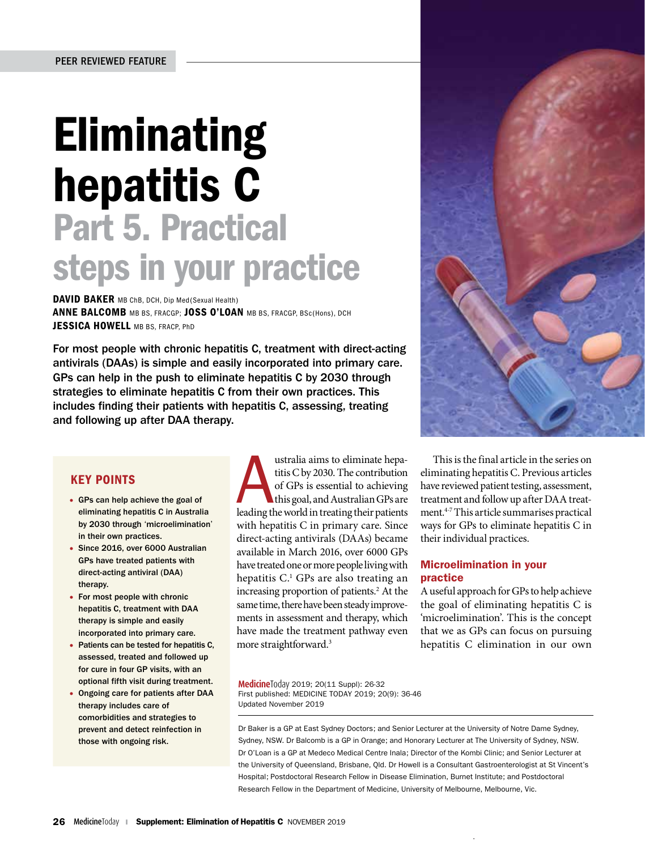# **Eliminating** hepatitis C Part 5. Practical steps in your practice

DAVID BAKER MB ChB, DCH, Dip Med(Sexual Health) ANNE BALCOMB MB BS, FRACGP; JOSS O'LOAN MB BS, FRACGP, BSc(Hons), DCH JESSICA HOWELL MB BS. FRACP, PhD

For most people with chronic hepatitis C, treatment with direct-acting antivirals (DAAs) is simple and easily incorporated into primary care. GPs can help in the push to eliminate hepatitis C by 2030 through strategies to eliminate hepatitis C from their own practices. This includes finding their patients with hepatitis C, assessing, treating and following up after DAA therapy.

# KEY POINTS

- GPs can help achieve the goal of eliminating hepatitis C in Australia by 2030 through 'microelimination' in their own practices.
- Since 2016, over 6000 Australian GPs have treated patients with direct-acting antiviral (DAA) therany
- For most people with chronic hepatitis C, treatment with DAA therapy is simple and easily incorporated into primary care.
- Patients can be tested for hepatitis C, assessed, treated and followed up for cure in four GP visits, with an optional fifth visit during treatment.
- Ongoing care for patients after DAA therapy includes care of comorbidities and strategies to prevent and detect reinfection in those with ongoing risk.

ustralia aims to eliminate hepatitis C by 2030. The contribution of GPs is essential to achieving this goal, and Australian GPs are leading the world in treating their patients ustralia aims to eliminate hepatitis C by 2030. The contribution of GPs is essential to achieving this goal, and Australian GPs are with hepatitis C in primary care. Since direct-acting antivirals (DAAs) became available in March 2016, over 6000 GPs have treated one or more people living with hepatitis C.<sup>1</sup> GPs are also treating an increasing proportion of patients.<sup>2</sup> At the same time, there have been steady improvements in assessment and therapy, which have made the treatment pathway even more straightforward.3



This is the final article in the series on eliminating hepatitis C. Previous articles have reviewed patient testing, assessment, treatment and follow up after DAA treatment.4-7 This article summarises practical ways for GPs to eliminate hepatitis C in their individual practices.

# Microelimination in your practice

A useful approach for GPs to help achieve the goal of eliminating hepatitis C is 'microelimination'. This is the concept that we as GPs can focus on pursuing hepatitis C elimination in our own

**Medicine**Today 2019; 20(11 Suppl): 26-32 First published: MEDICINE TODAY 2019; 20(9): 36-46 Updated November 2019

Dr Baker is a GP at East Sydney Doctors; and Senior Lecturer at the University of Notre Dame Sydney, Sydney, NSW. Dr Balcomb is a GP in Orange; and Honorary Lecturer at The University of Sydney, NSW. Dr O'Loan is a GP at Medeco Medical Centre Inala; Director of the Kombi Clinic; and Senior Lecturer at the University of Queensland, Brisbane, Qld. Dr Howell is a Consultant Gastroenterologist at St Vincent's Hospital; Postdoctoral Research Fellow in Disease Elimination, Burnet Institute; and Postdoctoral Research Fellow in the Department of Medicine, University of Melbourne, Melbourne, Vic.

 .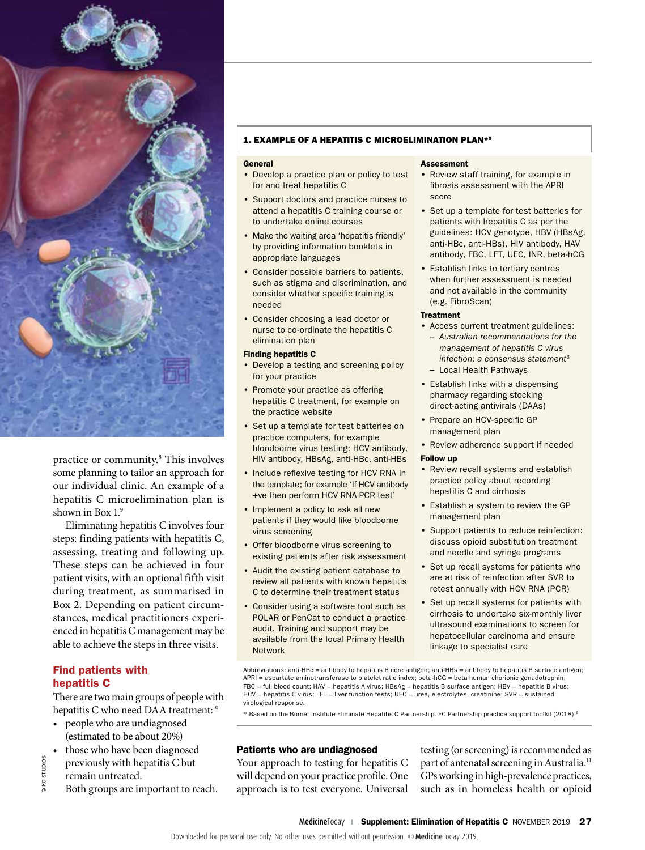

practice or community.8 This involves some planning to tailor an approach for our individual clinic. An example of a hepatitis C microelimination plan is shown in Box 1.9

Eliminating hepatitis C involves four steps: finding patients with hepatitis C, assessing, treating and following up. These steps can be achieved in four patient visits, with an optional fifth visit during treatment, as summarised in Box 2. Depending on patient circumstances, medical practitioners experienced in hepatitis C management may be able to achieve the steps in three visits.

# Find patients with hepatitis C

There are two main groups of people with hepatitis C who need DAA treatment:<sup>10</sup>

- people who are undiagnosed (estimated to be about 20%)
- those who have been diagnosed previously with hepatitis C but
- remain untreated.

© KO STUDIOS

**DKO STUDIOS** 

Both groups are important to reach.

# 1. EXAMPLE OF A HEPATITIS C MICROELIMINATION PLAN\*9

#### General

- Develop a practice plan or policy to test for and treat hepatitis C
- Support doctors and practice nurses to attend a hepatitis C training course or to undertake online courses
- Make the waiting area 'hepatitis friendly' by providing information booklets in appropriate languages
- Consider possible barriers to patients, such as stigma and discrimination, and consider whether specific training is needed
- Consider choosing a lead doctor or nurse to co-ordinate the hepatitis C elimination plan

### Finding hepatitis C

- Develop a testing and screening policy for your practice
- Promote your practice as offering hepatitis C treatment, for example on the practice website
- Set up a template for test batteries on practice computers, for example bloodborne virus testing: HCV antibody, HIV antibody, HBsAg, anti-HBc, anti-HBs
- Include reflexive testing for HCV RNA in the template; for example 'If HCV antibody +ve then perform HCV RNA PCR test'
- Implement a policy to ask all new patients if they would like bloodborne virus screening
- Offer bloodborne virus screening to existing patients after risk assessment
- Audit the existing patient database to review all patients with known hepatitis C to determine their treatment status
- Consider using a software tool such as POLAR or PenCat to conduct a practice audit. Training and support may be available from the local Primary Health Network

#### **Assessment**

- Review staff training, for example in fibrosis assessment with the APRI score
- Set up a template for test batteries for patients with hepatitis C as per the guidelines: HCV genotype, HBV (HBsAg, anti-HBc, anti-HBs), HIV antibody, HAV antibody, FBC, LFT, UEC, INR, beta-hCG
- Establish links to tertiary centres when further assessment is needed and not available in the community (e.g. FibroScan)

#### Treatment

- Access current treatment guidelines:
	- *Australian recommendations for the management of hepatitis C virus infection: a consensus statement*<sup>3</sup> – Local Health Pathways
- Establish links with a dispensing pharmacy regarding stocking direct-acting antivirals (DAAs)
- Prepare an HCV-specific GP management plan
- Review adherence support if needed

# Follow up

- Review recall systems and establish practice policy about recording hepatitis C and cirrhosis
- Establish a system to review the GP management plan
- Support patients to reduce reinfection: discuss opioid substitution treatment and needle and syringe programs
- Set up recall systems for patients who are at risk of reinfection after SVR to retest annually with HCV RNA (PCR)
- Set up recall systems for patients with cirrhosis to undertake six-monthly liver ultrasound examinations to screen for hepatocellular carcinoma and ensure linkage to specialist care

Abbreviations: anti-HBc = antibody to hepatitis B core antigen; anti-HBs = antibody to hepatitis B surface antigen; APRI = aspartate aminotransferase to platelet ratio index; beta-hCG = beta human chorionic gonadotrophin; FBC = full blood count; HAV = hepatitis A virus; HBsAg = hepatitis B surface antigen; HBV = hepatitis B virus; HCV = hepatitis C virus; LFT = liver function tests; UEC = urea, electrolytes, creatinine; SVR = sustained virological response.

\* Based on the Burnet Institute Eliminate Hepatitis C Partnership. EC Partnership practice support toolkit (2018).9

# Patients who are undiagnosed

Your approach to testing for hepatitis C will depend on your practice profile. One approach is to test everyone. Universal

testing (or screening) is recommended as part of antenatal screening in Australia.11 GPs working in high-prevalence practices, such as in homeless health or opioid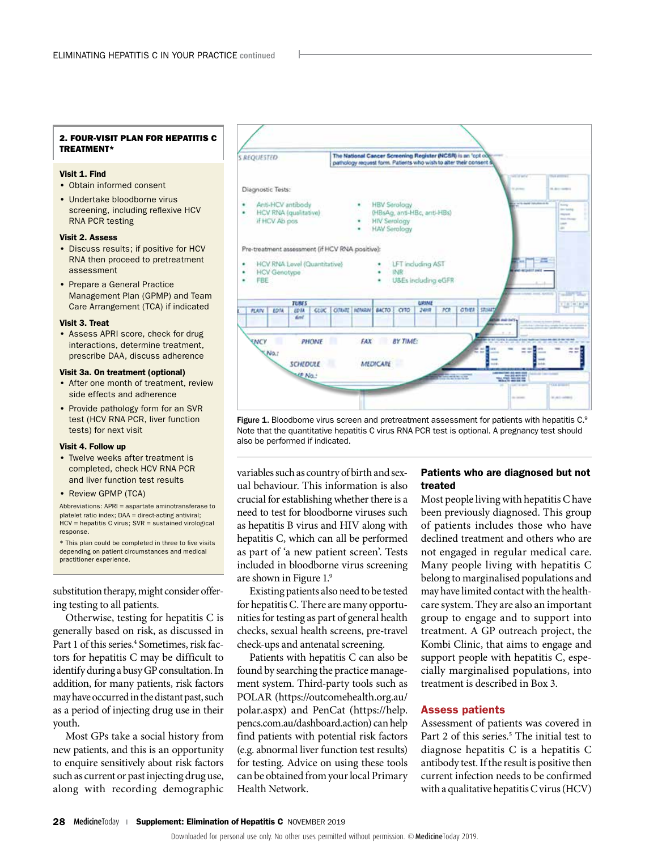# 2. FOUR-VISIT PLAN FOR HEPATITIS C TREATMENT\*

# Visit 1. Find

- Obtain informed consent
- Undertake bloodborne virus screening, including reflexive HCV RNA PCR testing

#### Visit 2. Assess

- Discuss results; if positive for HCV RNA then proceed to pretreatment assessment
- Prepare a General Practice Management Plan (GPMP) and Team Care Arrangement (TCA) if indicated

#### Visit 3. Treat

• Assess APRI score, check for drug interactions, determine treatment, prescribe DAA, discuss adherence

# Visit 3a. On treatment (optional)

- After one month of treatment, review side effects and adherence
- Provide pathology form for an SVR test (HCV RNA PCR, liver function tests) for next visit

#### Visit 4. Follow up

- Twelve weeks after treatment is completed, check HCV RNA PCR and liver function test results
- Review GPMP (TCA)

Abbreviations: APRI = aspartate aminotransferase to platelet ratio index; DAA = direct-acting antiviral; HCV = hepatitis C virus; SVR = sustained virological response.

\* This plan could be completed in three to five visits depending on patient circumstances and medical practitioner experience.

substitution therapy, might consider offering testing to all patients.

Otherwise, testing for hepatitis C is generally based on risk, as discussed in Part 1 of this series.<sup>4</sup> Sometimes, risk factors for hepatitis C may be difficult to identify during a busy GP consultation. In addition, for many patients, risk factors may have occurred in the distant past, such as a period of injecting drug use in their youth.

Most GPs take a social history from new patients, and this is an opportunity to enquire sensitively about risk factors such as current or past injecting drug use, along with recording demographic



Figure 1. Bloodborne virus screen and pretreatment assessment for patients with hepatitis C.<sup>9</sup> Note that the quantitative hepatitis C virus RNA PCR test is optional. A pregnancy test should also be performed if indicated.

variables such as country of birth and sexual behaviour. This information is also crucial for establishing whether there is a need to test for bloodborne viruses such as hepatitis B virus and HIV along with hepatitis C, which can all be performed as part of 'a new patient screen'. Tests included in bloodborne virus screening are shown in Figure 1.9

Existing patients also need to be tested for hepatitis C. There are many opportunities for testing as part of general health checks, sexual health screens, pre-travel check-ups and antenatal screening.

Patients with hepatitis C can also be found by searching the practice management system. Third-party tools such as POLAR ([https://outcomehealth.org.au/](https://outcomehealth.org.au/polar.aspx) [polar.aspx\)](https://outcomehealth.org.au/polar.aspx) and PenCat (https://help. pencs.com.au/dashboard.action) can help find patients with potential risk factors (e.g. abnormal liver function test results) for testing. Advice on using these tools can be obtained from your local Primary Health Network.

# Patients who are diagnosed but not treated

Most people living with hepatitis C have been previously diagnosed. This group of patients includes those who have declined treatment and others who are not engaged in regular medical care. Many people living with hepatitis C belong to marginalised populations and may have limited contact with the healthcare system. They are also an important group to engage and to support into treatment. A GP outreach project, the Kombi Clinic, that aims to engage and support people with hepatitis C, especially marginalised populations, into treatment is described in Box 3.

#### Assess patients

Assessment of patients was covered in Part 2 of this series.<sup>5</sup> The initial test to diagnose hepatitis C is a hepatitis C antibody test. If the result is positive then current infection needs to be confirmed with a qualitative hepatitis C virus (HCV)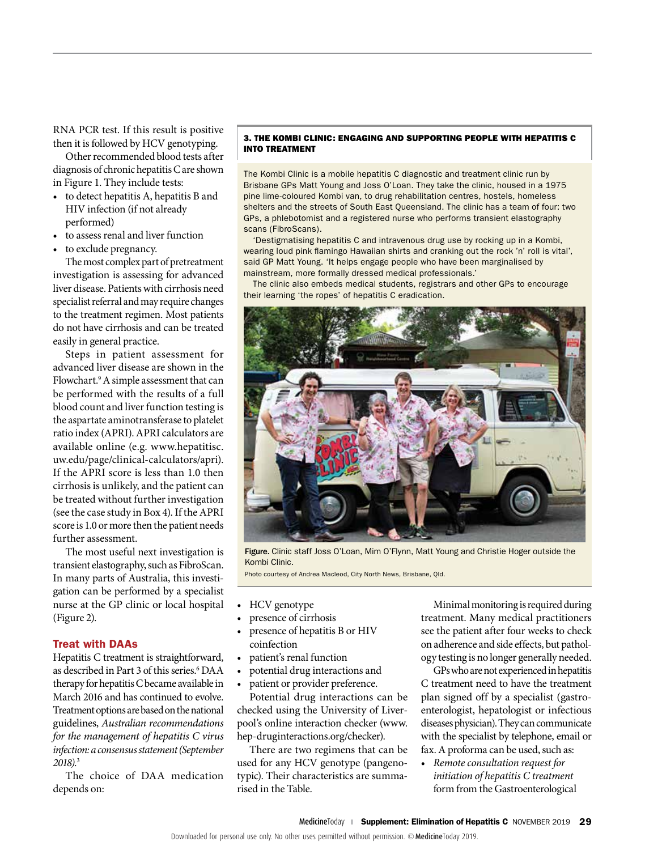RNA PCR test. If this result is positive then it is followed by HCV genotyping.

Other recommended blood tests after diagnosis of chronic hepatitis C are shown in Figure 1. They include tests:

- to detect hepatitis A, hepatitis B and HIV infection (if not already performed)
- to assess renal and liver function
- to exclude pregnancy.

The most complex part of pretreatment investigation is assessing for advanced liver disease. Patients with cirrhosis need specialist referral and may require changes to the treatment regimen. Most patients do not have cirrhosis and can be treated easily in general practice.

Steps in patient assessment for advanced liver disease are shown in the Flowchart.<sup>9</sup> A simple assessment that can be performed with the results of a full blood count and liver function testing is the aspartate aminotransferase to platelet ratio index (APRI). APRI calculators are available online (e.g. [www.hepatitisc.](https://www.hepatitisc.uw.edu/page/clinical-calculators/apri) [uw.edu/page/clinical-calculators/apri\)](https://www.hepatitisc.uw.edu/page/clinical-calculators/apri). If the APRI score is less than 1.0 then cirrhosis is unlikely, and the patient can be treated without further investigation (see the case study in Box 4). If the APRI score is 1.0 or more then the patient needs further assessment.

The most useful next investigation is transient elastography, such as FibroScan. In many parts of Australia, this investigation can be performed by a specialist nurse at the GP clinic or local hospital (Figure 2).

# Treat with DAAs

Hepatitis C treatment is straightforward, as described in Part 3 of this series.<sup>6</sup> DAA therapy for hepatitis C became available in March 2016 and has continued to evolve. Treatment options are based on the national guidelines, *Australian recommendations for the management of hepatitis C virus infection: a consensus statement (September 2018)*. 3

The choice of DAA medication depends on:

# 3. THE KOMBI CLINIC: ENGAGING AND SUPPORTING PEOPLE WITH HEPATITIS C INTO TREATMENT

The Kombi Clinic is a mobile hepatitis C diagnostic and treatment clinic run by Brisbane GPs Matt Young and Joss O'Loan. They take the clinic, housed in a 1975 pine lime-coloured Kombi van, to drug rehabilitation centres, hostels, homeless shelters and the streets of South East Queensland. The clinic has a team of four: two GPs, a phlebotomist and a registered nurse who performs transient elastography scans (FibroScans).

'Destigmatising hepatitis C and intravenous drug use by rocking up in a Kombi, wearing loud pink flamingo Hawaiian shirts and cranking out the rock 'n' roll is vital', said GP Matt Young. 'It helps engage people who have been marginalised by mainstream, more formally dressed medical professionals.'

The clinic also embeds medical students, registrars and other GPs to encourage their learning 'the ropes' of hepatitis C eradication.



Figure. Clinic staff Joss O'Loan, Mim O'Flynn, Matt Young and Christie Hoger outside the Kombi Clinic.

Photo courtesy of Andrea Macleod, City North News, Brisbane, Qld.

- HCV genotype
- presence of cirrhosis
- presence of hepatitis B or HIV coinfection
- patient's renal function
- potential drug interactions and
- patient or provider preference.

Potential drug interactions can be checked using the University of Liverpool's online interaction checker [\(www.](http://www.hep-druginteractions.org/checker) [hep-druginteractions.org/checker\)](http://www.hep-druginteractions.org/checker).

There are two regimens that can be used for any HCV genotype (pangenotypic). Their characteristics are summarised in the Table.

Minimal monitoring is required during treatment. Many medical practitioners see the patient after four weeks to check on adherence and side effects, but pathology testing is no longer generally needed.

GPs who are not experienced in hepatitis C treatment need to have the treatment plan signed off by a specialist (gastroenterologist, hepatologist or infectious diseases physician). They can communicate with the specialist by telephone, email or fax. A proforma can be used, such as:

• *Remote consultation request for initiation of hepatitis C treatment* form from the Gastroenterological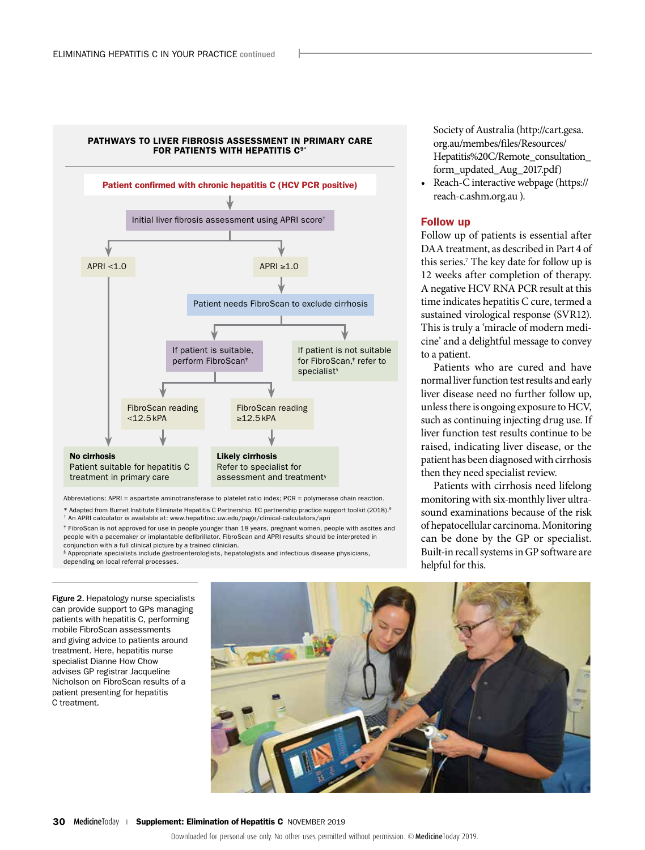

Abbreviations: APRI = aspartate aminotransferase to platelet ratio index; PCR = polymerase chain reaction.

\* Adapted from Burnet Institute Eliminate Hepatitis C Partnership. EC partnership practice support toolkit (2018).9

† An APRI calculator is available at: www.hepatitisc.uw.edu/page/clinical-calculators/apri

‡ FibroScan is not approved for use in people younger than 18 years, pregnant women, people with ascites and people with a pacemaker or implantable defibrillator. FibroScan and APRI results should be interpreted in conjunction with a full clinical picture by a trained clinician.

§ Appropriate specialists include gastroenterologists, hepatologists and infectious disease physicians, depending on local referral processes.

Figure 2. Hepatology nurse specialists can provide support to GPs managing patients with hepatitis C, performing mobile FibroScan assessments and giving advice to patients around treatment. Here, hepatitis nurse specialist Dianne How Chow advises GP registrar Jacqueline Nicholson on FibroScan results of a patient presenting for hepatitis C treatment.



Society of Australia (http://cart.gesa. org.au/membes/files/Resources/ Hepatitis%20C/Remote\_consultation\_ form\_updated\_Aug\_2017.pdf)

• Reach-C interactive webpage (https:// reach-c.ashm.org.au ).

# Follow up

Follow up of patients is essential after DAA treatment, as described in Part 4 of this series.<sup>7</sup> The key date for follow up is 12 weeks after completion of therapy. A negative HCV RNA PCR result at this time indicates hepatitis C cure, termed a sustained virological response (SVR12). This is truly a 'miracle of modern medicine' and a delightful message to convey to a patient.

Patients who are cured and have normal liver function test results and early liver disease need no further follow up, unless there is ongoing exposure to HCV, such as continuing injecting drug use. If liver function test results continue to be raised, indicating liver disease, or the patient has been diagnosed with cirrhosis then they need specialist review.

Patients with cirrhosis need lifelong monitoring with six-monthly liver ultrasound examinations because of the risk of hepatocellular carcinoma. Monitoring can be done by the GP or specialist. Built-in recall systems in GP software are helpful for this.

30 MedicineToday **I Supplement: Elimination of Hepatitis C** NOVEMBER 2019

Downloaded for personal use only. No other uses permitted without permission. © MedicineToday 2019.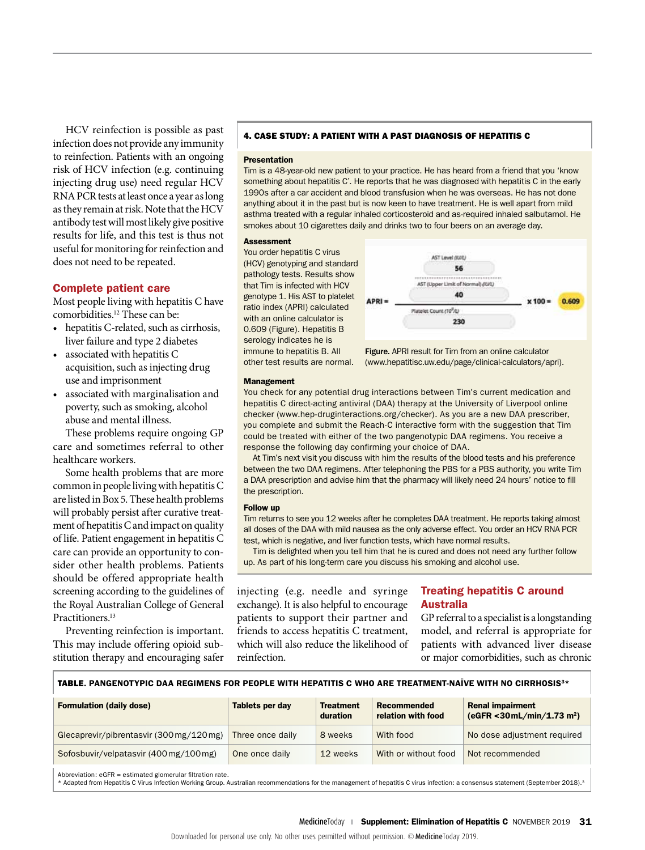HCV reinfection is possible as past infection does not provide any immunity to reinfection. Patients with an ongoing risk of HCV infection (e.g. continuing injecting drug use) need regular HCV RNA PCR tests at least once a year as long as they remain at risk. Note that the HCV antibody test will most likely give positive results for life, and this test is thus not useful for monitoring for reinfection and does not need to be repeated.

# Complete patient care

Most people living with hepatitis C have comorbidities.12 These can be:

- hepatitis C-related, such as cirrhosis, liver failure and type 2 diabetes
- associated with hepatitis C acquisition, such as injecting drug use and imprisonment
- associated with marginalisation and poverty, such as smoking, alcohol abuse and mental illness.

These problems require ongoing GP care and sometimes referral to other healthcare workers.

Some health problems that are more common in people living with hepatitis C are listed in Box 5. These health problems will probably persist after curative treatment of hepatitis C and impact on quality of life. Patient engagement in hepatitis C care can provide an opportunity to consider other health problems. Patients should be offered appropriate health screening according to the guidelines of the Royal Australian College of General Practitioners.<sup>13</sup>

Preventing reinfection is important. This may include offering opioid substitution therapy and encouraging safer

# 4. CASE STUDY: A PATIENT WITH A PAST DIAGNOSIS OF HEPATITIS C

#### Presentation

Tim is a 48-year-old new patient to your practice. He has heard from a friend that you 'know something about hepatitis C'. He reports that he was diagnosed with hepatitis C in the early 1990s after a car accident and blood transfusion when he was overseas. He has not done anything about it in the past but is now keen to have treatment. He is well apart from mild asthma treated with a regular inhaled corticosteroid and as-required inhaled salbutamol. He smokes about 10 cigarettes daily and drinks two to four beers on an average day.

#### Assessment

You order hepatitis C virus (HCV) genotyping and standard pathology tests. Results show that Tim is infected with HCV genotype 1. His AST to platelet ratio index (APRI) calculated with an online calculator is 0.609 (Figure). Hepatitis B serology indicates he is immune to hepatitis B. All other test results are normal.



Figure. APRI result for Tim from an online calculator (www.hepatitisc.uw.edu/page/clinical-calculators/apri).

#### Management

You check for any potential drug interactions between Tim's current medication and hepatitis C direct-acting antiviral (DAA) therapy at the University of Liverpool online checker [\(www.hep-druginteractions.org/checker](http://www.hep-druginteractions.org/checker)). As you are a new DAA prescriber, you complete and submit the Reach-C interactive form with the suggestion that Tim could be treated with either of the two pangenotypic DAA regimens. You receive a response the following day confirming your choice of DAA.

At Tim's next visit you discuss with him the results of the blood tests and his preference between the two DAA regimens. After telephoning the PBS for a PBS authority, you write Tim a DAA prescription and advise him that the pharmacy will likely need 24 hours' notice to fill the prescription.

#### Follow up

Tim returns to see you 12 weeks after he completes DAA treatment. He reports taking almost all doses of the DAA with mild nausea as the only adverse effect. You order an HCV RNA PCR test, which is negative, and liver function tests, which have normal results.

Tim is delighted when you tell him that he is cured and does not need any further follow up. As part of his long-term care you discuss his smoking and alcohol use.

injecting (e.g. needle and syringe exchange). It is also helpful to encourage patients to support their partner and friends to access hepatitis C treatment, which will also reduce the likelihood of reinfection.

# Treating hepatitis C around Australia

GP referral to a specialist is a longstanding model, and referral is appropriate for patients with advanced liver disease or major comorbidities, such as chronic

|  | <b>TABLE. PANGENOTYPIC DAA REGIMENS FOR PEOPLE WITH HEPATITIS C WHO ARE TREATMENT-NAIVE WITH NO CIRRHOSIS3*</b> |
|--|-----------------------------------------------------------------------------------------------------------------|
|  |                                                                                                                 |
|  |                                                                                                                 |
|  |                                                                                                                 |
|  |                                                                                                                 |

| <b>Formulation (daily dose)</b>                            | Tablets per day  | <b>Treatment</b><br>duration | Recommended<br>relation with food | <b>Renal impairment</b><br>(eGFR <30mL/min/1.73 m <sup>2</sup> ) |  |
|------------------------------------------------------------|------------------|------------------------------|-----------------------------------|------------------------------------------------------------------|--|
| Glecaprevir/pibrentasvir (300 mg/120 mg)                   | Three once daily | 8 weeks                      | With food                         | No dose adjustment required                                      |  |
| Sofosbuvir/velpatasvir (400 mg/100 mg)                     | One once daily   | 12 weeks                     | With or without food              | Not recommended                                                  |  |
| Abbreviation: eGFR = estimated glomerular filtration rate. |                  |                              |                                   |                                                                  |  |

Abbreviation: eGFR = estimated glomerular filtration rate.<br>\* Adapted from Hepatitis C Virus Infection Working Group. Australian recommendations for the management of hepatitis C virus infection: a consensus statement (Sept